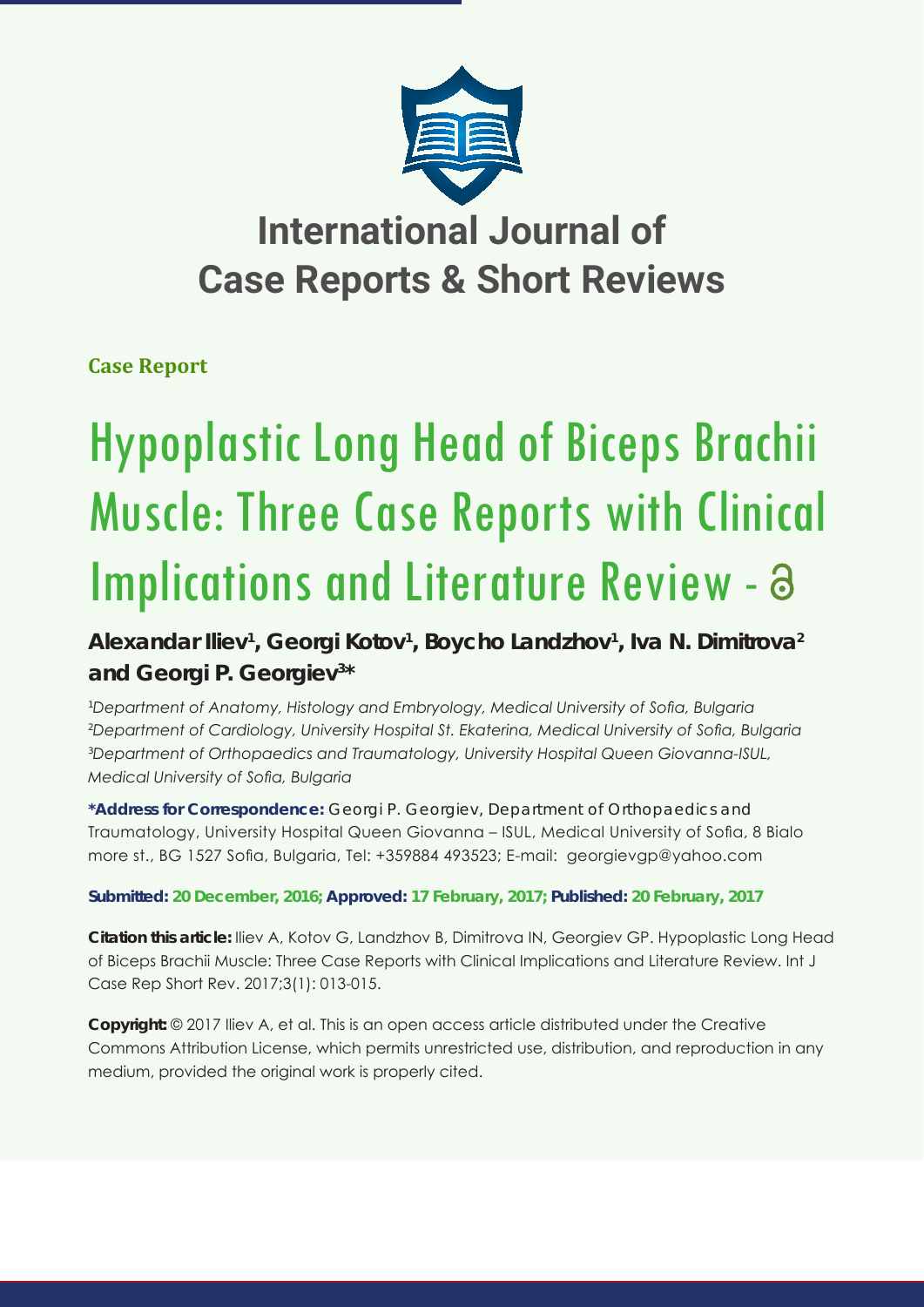

# **International Journal of Case Reports & Short Reviews**

### **Case Report**

# Hypoplastic Long Head of Biceps Brachii Muscle: Three Case Reports with Clinical Implications and Literature Review - a

## **Alexandar Iliev1 , Georgi Kotov1 , Boycho Landzhov1 , Iva N. Dimitrova2 and Georgi P. Georgiev3 \***

 *Department of Anatomy, Histology and Embryology, Medical University of Sofia, Bulgaria Department of Cardiology, University Hospital St. Ekaterina, Medical University of Sofia, Bulgaria Department of Orthopaedics and Traumatology, University Hospital Queen Giovanna-ISUL, Medical University of Sofia, Bulgaria* 

**\*Address for Correspondence:** Georgi P. Georgiev, Department of Orthopaedics and Traumatology, University Hospital Queen Giovanna – ISUL, Medical University of Sofia, 8 Bialo more st., BG 1527 Sofia, Bulgaria, Tel: +359884 493523; E-mail: georgievgp@yahoo.com

#### **Submitted: 20 December, 2016; Approved: 17 February, 2017; Published: 20 February, 2017**

**Citation this article:** Iliev A, Kotov G, Landzhov B, Dimitrova IN, Georgiev GP. Hypoplastic Long Head of Biceps Brachii Muscle: Three Case Reports with Clinical Implications and Literature Review. Int J Case Rep Short Rev. 2017;3(1): 013-015.

**Copyright:** © 2017 Iliev A, et al. This is an open access article distributed under the Creative Commons Attribution License, which permits unrestricted use, distribution, and reproduction in any medium, provided the original work is properly cited.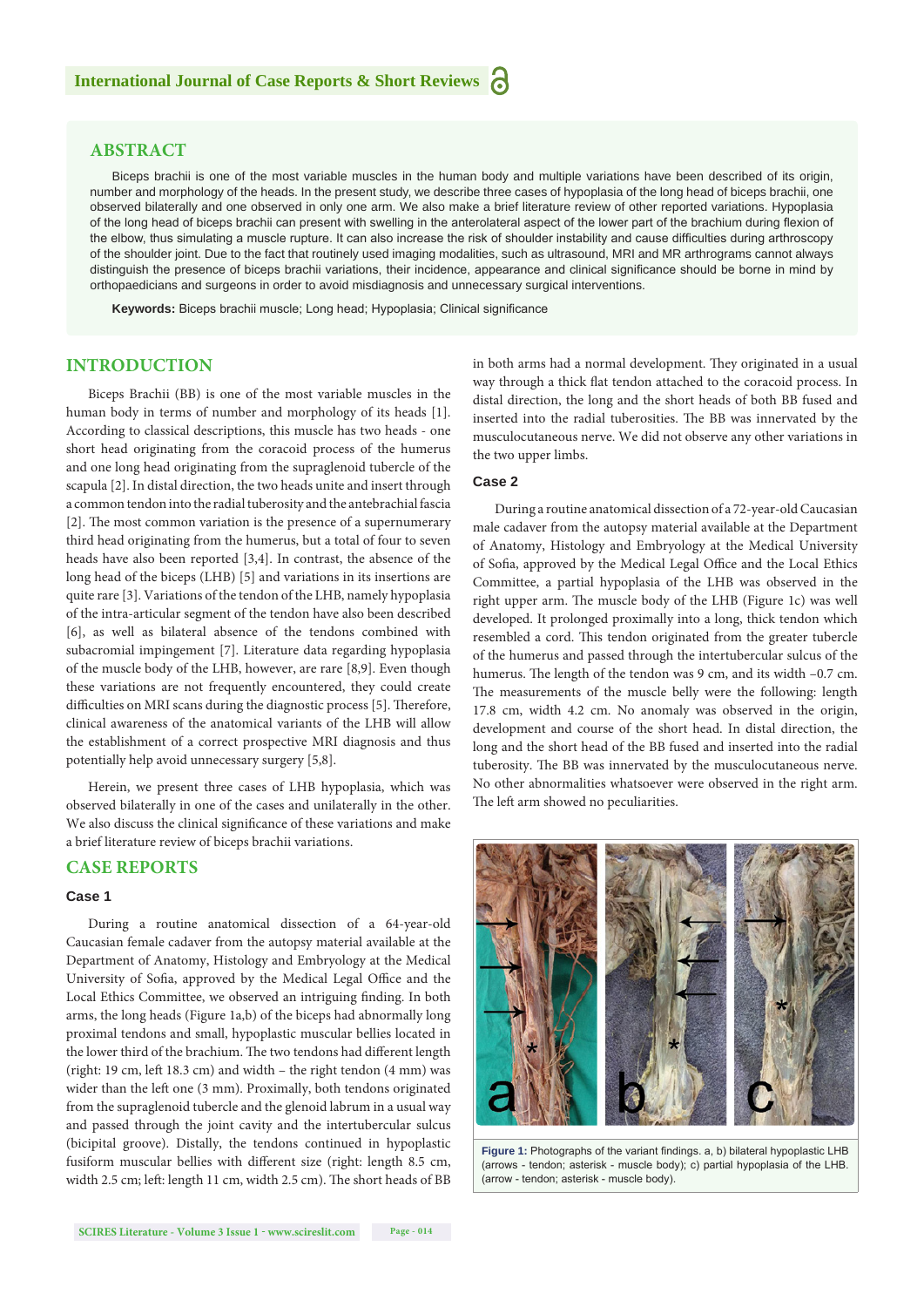#### **ABSTRACT**

Biceps brachii is one of the most variable muscles in the human body and multiple variations have been described of its origin, number and morphology of the heads. In the present study, we describe three cases of hypoplasia of the long head of biceps brachii, one observed bilaterally and one observed in only one arm. We also make a brief literature review of other reported variations. Hypoplasia of the long head of biceps brachii can present with swelling in the anterolateral aspect of the lower part of the brachium during flexion of the elbow, thus simulating a muscle rupture. It can also increase the risk of shoulder instability and cause difficulties during arthroscopy of the shoulder joint. Due to the fact that routinely used imaging modalities, such as ultrasound, MRI and MR arthrograms cannot always distinguish the presence of biceps brachii variations, their incidence, appearance and clinical significance should be borne in mind by orthopaedicians and surgeons in order to avoid misdiagnosis and unnecessary surgical interventions.

**Keywords:** Biceps brachii muscle; Long head; Hypoplasia; Clinical significance

#### **INTRODUCTION**

Biceps Brachii (BB) is one of the most variable muscles in the human body in terms of number and morphology of its heads [1]. According to classical descriptions, this muscle has two heads - one short head originating from the coracoid process of the humerus and one long head originating from the supraglenoid tubercle of the scapula [2]. In distal direction, the two heads unite and insert through a common tendon into the radial tuberosity and the antebrachial fascia [2]. The most common variation is the presence of a supernumerary third head originating from the humerus, but a total of four to seven heads have also been reported [3,4]. In contrast, the absence of the long head of the biceps (LHB) [5] and variations in its insertions are quite rare [3]. Variations of the tendon of the LHB, namely hypoplasia of the intra-articular segment of the tendon have also been described [6], as well as bilateral absence of the tendons combined with subacromial impingement [7]. Literature data regarding hypoplasia of the muscle body of the LHB, however, are rare [8,9]. Even though these variations are not frequently encountered, they could create difficulties on MRI scans during the diagnostic process [5]. Therefore, clinical awareness of the anatomical variants of the LHB will allow the establishment of a correct prospective MRI diagnosis and thus potentially help avoid unnecessary surgery [5,8].

Herein, we present three cases of LHB hypoplasia, which was observed bilaterally in one of the cases and unilaterally in the other. We also discuss the clinical significance of these variations and make a brief literature review of biceps brachii variations.

#### **CASE REPORTS**

#### **Case 1**

During a routine anatomical dissection of a 64-year-old Caucasian female cadaver from the autopsy material available at the Department of Anatomy, Histology and Embryology at the Medical University of Sofia, approved by the Medical Legal Office and the Local Ethics Committee, we observed an intriguing finding. In both arms, the long heads (Figure 1a,b) of the biceps had abnormally long proximal tendons and small, hypoplastic muscular bellies located in the lower third of the brachium. The two tendons had different length (right: 19 cm, left 18.3 cm) and width – the right tendon (4 mm) was wider than the left one (3 mm). Proximally, both tendons originated from the supraglenoid tubercle and the glenoid labrum in a usual way and passed through the joint cavity and the intertubercular sulcus (bicipital groove). Distally, the tendons continued in hypoplastic fusiform muscular bellies with different size (right: length 8.5 cm, width 2.5 cm; left: length 11 cm, width 2.5 cm). The short heads of BB in both arms had a normal development. They originated in a usual way through a thick flat tendon attached to the coracoid process. In distal direction, the long and the short heads of both BB fused and inserted into the radial tuberosities. The BB was innervated by the musculocutaneous nerve. We did not observe any other variations in the two upper limbs.

#### **Case 2**

During a routine anatomical dissection of a 72-year-old Caucasian male cadaver from the autopsy material available at the Department of Anatomy, Histology and Embryology at the Medical University of Sofia, approved by the Medical Legal Office and the Local Ethics Committee, a partial hypoplasia of the LHB was observed in the right upper arm. The muscle body of the LHB (Figure 1c) was well developed. It prolonged proximally into a long, thick tendon which resembled a cord. This tendon originated from the greater tubercle of the humerus and passed through the intertubercular sulcus of the humerus. The length of the tendon was 9 cm, and its width  $-0.7$  cm. The measurements of the muscle belly were the following: length 17.8 cm, width 4.2 cm. No anomaly was observed in the origin, development and course of the short head. In distal direction, the long and the short head of the BB fused and inserted into the radial tuberosity. The BB was innervated by the musculocutaneous nerve. No other abnormalities whatsoever were observed in the right arm. The left arm showed no peculiarities.



**Figure 1:** Photographs of the variant findings, a, b) bilateral hypoplastic LHB (arrows - tendon; asterisk - muscle body); c) partial hypoplasia of the LHB. (arrow - tendon; asterisk - muscle body).